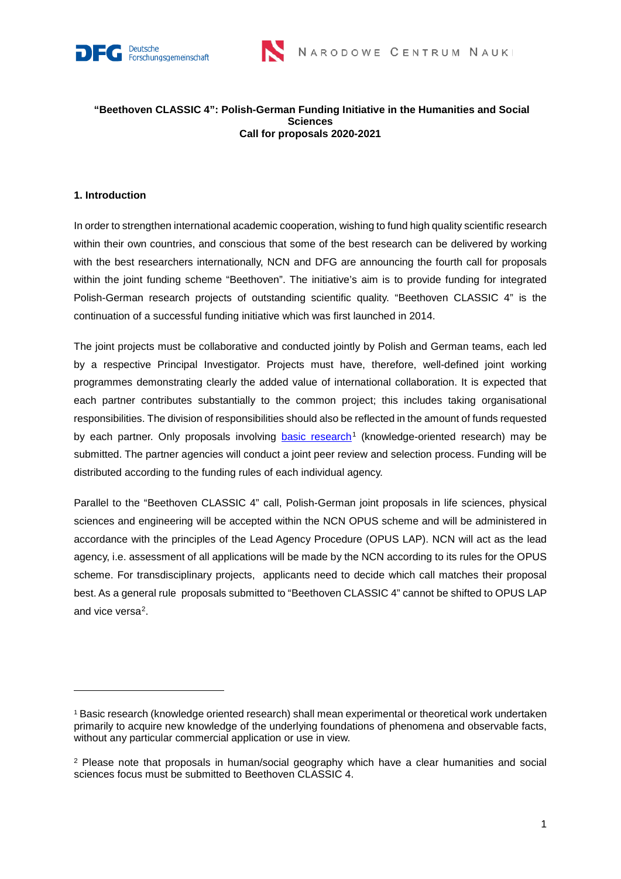



#### **"Beethoven CLASSIC 4": Polish-German Funding Initiative in the Humanities and Social Sciences Call for proposals 2020-2021**

## **1. Introduction**

In order to strengthen international academic cooperation, wishing to fund high quality scientific research within their own countries, and conscious that some of the best research can be delivered by working with the best researchers internationally, NCN and DFG are announcing the fourth call for proposals within the joint funding scheme "Beethoven". The initiative's aim is to provide funding for integrated Polish-German research projects of outstanding scientific quality. "Beethoven CLASSIC 4" is the continuation of a successful funding initiative which was first launched in 2014.

The joint projects must be collaborative and conducted jointly by Polish and German teams, each led by a respective Principal Investigator. Projects must have, therefore, well-defined joint working programmes demonstrating clearly the added value of international collaboration. It is expected that each partner contributes substantially to the common project; this includes taking organisational responsibilities. The division of responsibilities should also be reflected in the amount of funds requested by each partner. Only proposals involving [basic research](https://ncn.gov.pl/o-ncn/zadania-ncn?language=en)<sup>[1](#page-0-0)</sup> (knowledge-oriented research) may be submitted. The partner agencies will conduct a joint peer review and selection process. Funding will be distributed according to the funding rules of each individual agency.

Parallel to the "Beethoven CLASSIC 4" call, Polish-German joint proposals in life sciences, physical sciences and engineering will be accepted within the NCN OPUS scheme and will be administered in accordance with the principles of the Lead Agency Procedure (OPUS LAP). NCN will act as the lead agency, i.e. assessment of all applications will be made by the NCN according to its rules for the OPUS scheme. For transdisciplinary projects, applicants need to decide which call matches their proposal best. As a general rule proposals submitted to "Beethoven CLASSIC 4" cannot be shifted to OPUS LAP and vice versa[2.](#page-0-1)

<span id="page-0-0"></span><sup>1</sup> Basic research (knowledge oriented research) shall mean experimental or theoretical work undertaken primarily to acquire new knowledge of the underlying foundations of phenomena and observable facts, without any particular commercial application or use in view.

<span id="page-0-1"></span><sup>&</sup>lt;sup>2</sup> Please note that proposals in human/social geography which have a clear humanities and social sciences focus must be submitted to Beethoven CLASSIC 4.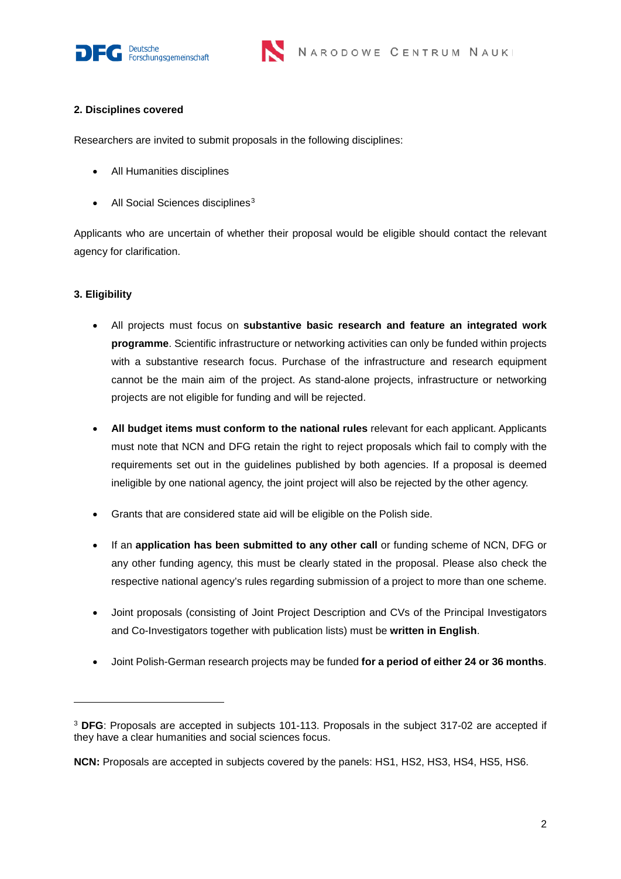



#### **2. Disciplines covered**

Researchers are invited to submit proposals in the following disciplines:

- All Humanities disciplines
- All Social Sciences disciplines<sup>[3](#page-1-0)</sup>

Applicants who are uncertain of whether their proposal would be eligible should contact the relevant agency for clarification.

# **3. Eligibility**

-

- All projects must focus on **substantive basic research and feature an integrated work programme**. Scientific infrastructure or networking activities can only be funded within projects with a substantive research focus. Purchase of the infrastructure and research equipment cannot be the main aim of the project. As stand-alone projects, infrastructure or networking projects are not eligible for funding and will be rejected.
- **All budget items must conform to the national rules** relevant for each applicant. Applicants must note that NCN and DFG retain the right to reject proposals which fail to comply with the requirements set out in the guidelines published by both agencies. If a proposal is deemed ineligible by one national agency, the joint project will also be rejected by the other agency.
- Grants that are considered state aid will be eligible on the Polish side.
- If an **application has been submitted to any other call** or funding scheme of NCN, DFG or any other funding agency, this must be clearly stated in the proposal. Please also check the respective national agency's rules regarding submission of a project to more than one scheme.
- Joint proposals (consisting of Joint Project Description and CVs of the Principal Investigators and Co-Investigators together with publication lists) must be **written in English**.
- Joint Polish-German research projects may be funded **for a period of either 24 or 36 months**.

<span id="page-1-0"></span><sup>3</sup> **DFG**: Proposals are accepted in subjects 101-113. Proposals in the subject 317-02 are accepted if they have a clear humanities and social sciences focus.

**NCN:** Proposals are accepted in subjects covered by the panels: HS1, HS2, HS3, HS4, HS5, HS6.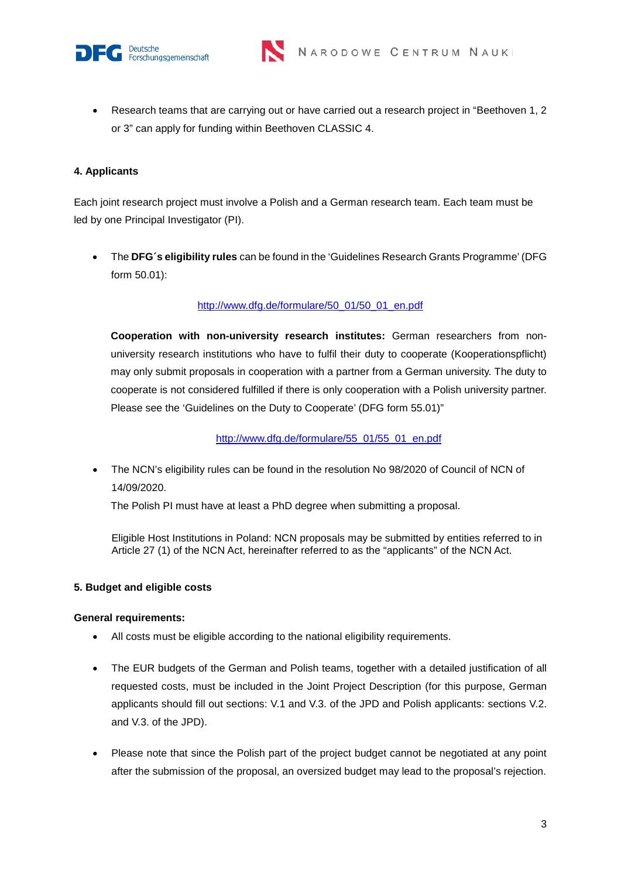



• Research teams that are carrying out or have carried out a research project in "Beethoven 1, 2 or 3" can apply for funding within Beethoven CLASSIC 4.

## **4. Applicants**

Each joint research project must involve a Polish and a German research team. Each team must be led by one Principal Investigator (PI).

• The **DFG´s eligibility rules** can be found in the 'Guidelines Research Grants Programme' (DFG form 50.01):

# [http://www.dfg.de/formulare/50\\_01/50\\_01\\_en.pdf](http://www.dfg.de/formulare/50_01/50_01_en.pdf)

**Cooperation with non-university research institutes:** German researchers from nonuniversity research institutions who have to fulfil their duty to cooperate (Kooperationspflicht) may only submit proposals in cooperation with a partner from a German university. The duty to cooperate is not considered fulfilled if there is only cooperation with a Polish university partner. Please see the 'Guidelines on the Duty to Cooperate' (DFG form 55.01)"

[http://www.dfg.de/formulare/55\\_01/55\\_01\\_en.pdf](http://www.dfg.de/formulare/55_01/55_01_en.pdf)

• The NCN's eligibility rules can be found in the resolution No 98/2020 of Council of NCN of 14/09/2020.

The Polish PI must have at least a PhD degree when submitting a proposal.

Eligible Host Institutions in Poland: NCN proposals may be submitted by entities referred to in Article 27 (1) of the NCN Act, hereinafter referred to as the "applicants" of the NCN Act.

#### **5. Budget and eligible costs**

#### **General requirements:**

- All costs must be eligible according to the national eligibility requirements.
- The EUR budgets of the German and Polish teams, together with a detailed justification of all requested costs, must be included in the Joint Project Description (for this purpose, German applicants should fill out sections: V.1 and V.3. of the JPD and Polish applicants: sections V.2. and V.3. of the JPD).
- Please note that since the Polish part of the project budget cannot be negotiated at any point after the submission of the proposal, an oversized budget may lead to the proposal's rejection.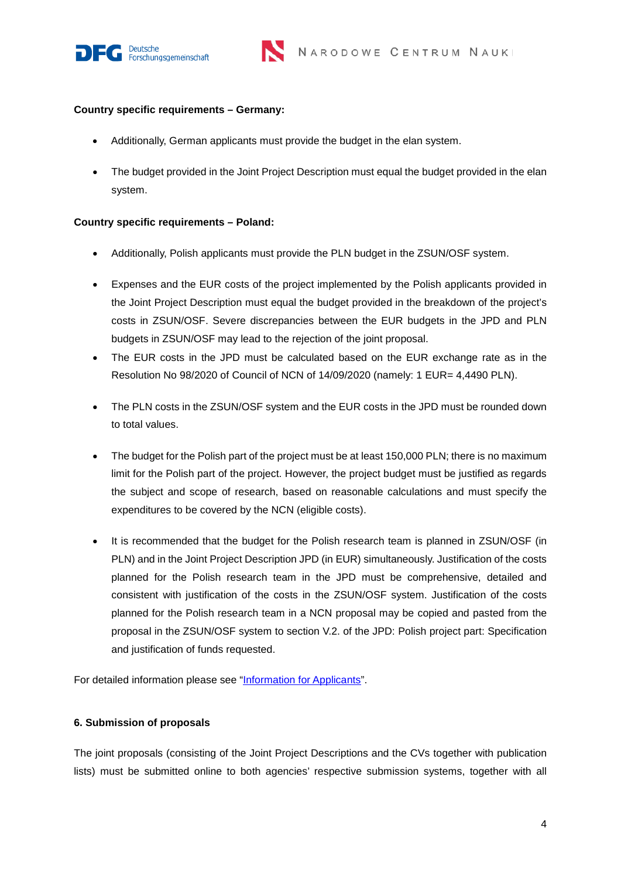



#### **Country specific requirements – Germany:**

- Additionally, German applicants must provide the budget in the elan system.
- The budget provided in the Joint Project Description must equal the budget provided in the elan system.

#### **Country specific requirements – Poland:**

- Additionally, Polish applicants must provide the PLN budget in the ZSUN/OSF system.
- Expenses and the EUR costs of the project implemented by the Polish applicants provided in the Joint Project Description must equal the budget provided in the breakdown of the project's costs in ZSUN/OSF. Severe discrepancies between the EUR budgets in the JPD and PLN budgets in ZSUN/OSF may lead to the rejection of the joint proposal.
- The EUR costs in the JPD must be calculated based on the EUR exchange rate as in the Resolution No 98/2020 of Council of NCN of 14/09/2020 (namely: 1 EUR= 4,4490 PLN).
- The PLN costs in the ZSUN/OSF system and the EUR costs in the JPD must be rounded down to total values.
- The budget for the Polish part of the project must be at least 150,000 PLN; there is no maximum limit for the Polish part of the project. However, the project budget must be justified as regards the subject and scope of research, based on reasonable calculations and must specify the expenditures to be covered by the NCN (eligible costs).
- It is recommended that the budget for the Polish research team is planned in ZSUN/OSF (in PLN) and in the Joint Project Description JPD (in EUR) simultaneously. Justification of the costs planned for the Polish research team in the JPD must be comprehensive, detailed and consistent with justification of the costs in the ZSUN/OSF system. Justification of the costs planned for the Polish research team in a NCN proposal may be copied and pasted from the proposal in the ZSUN/OSF system to section V.2. of the JPD: Polish project part: Specification and justification of funds requested.

For detailed information please see ["Information for Applicants"](https://ncn.gov.pl/sites/default/files/pliki/regulaminy/beethoven_classic_4_IFA_ang.pdf).

#### **6. Submission of proposals**

The joint proposals (consisting of the Joint Project Descriptions and the CVs together with publication lists) must be submitted online to both agencies' respective submission systems, together with all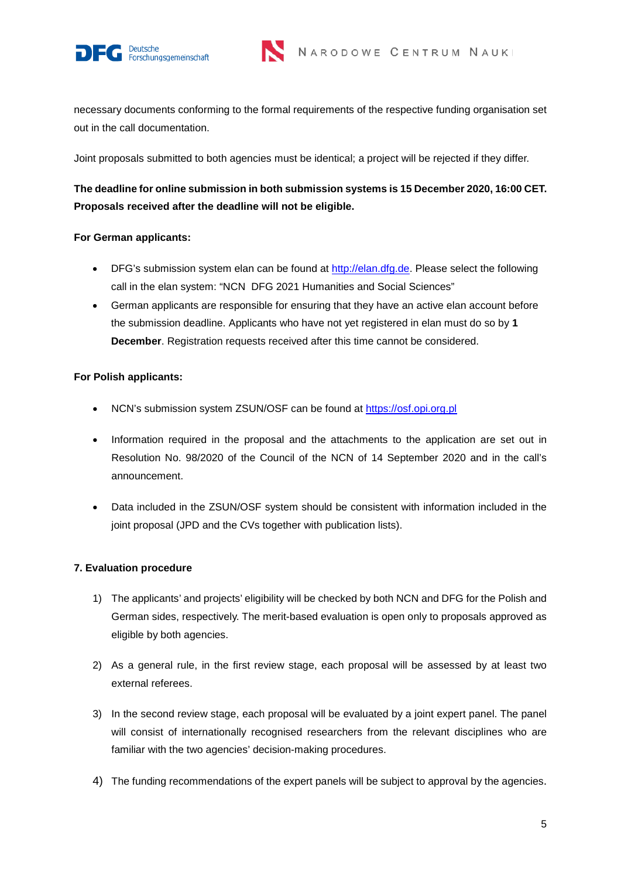



necessary documents conforming to the formal requirements of the respective funding organisation set out in the call documentation.

Joint proposals submitted to both agencies must be identical; a project will be rejected if they differ.

# **The deadline for online submission in both submission systems is 15 December 2020, 16:00 CET. Proposals received after the deadline will not be eligible.**

## **For German applicants:**

- DFG's submission system elan can be found at [http://elan.dfg.de.](http://elan.dfg.de/) Please select the following call in the elan system: "NCN DFG 2021 Humanities and Social Sciences"
- German applicants are responsible for ensuring that they have an active elan account before the submission deadline. Applicants who have not yet registered in elan must do so by **1 December**. Registration requests received after this time cannot be considered.

## **For Polish applicants:**

- NCN's submission system ZSUN/OSF can be found at [https://osf.opi.org.pl](https://osf.opi.org.pl/)
- Information required in the proposal and the attachments to the application are set out in Resolution No. 98/2020 of the Council of the NCN of 14 September 2020 and in the call's announcement.
- Data included in the ZSUN/OSF system should be consistent with information included in the joint proposal (JPD and the CVs together with publication lists).

# **7. Evaluation procedure**

- 1) The applicants' and projects' eligibility will be checked by both NCN and DFG for the Polish and German sides, respectively. The merit-based evaluation is open only to proposals approved as eligible by both agencies.
- 2) As a general rule, in the first review stage, each proposal will be assessed by at least two external referees.
- 3) In the second review stage, each proposal will be evaluated by a joint expert panel. The panel will consist of internationally recognised researchers from the relevant disciplines who are familiar with the two agencies' decision-making procedures.
- 4) The funding recommendations of the expert panels will be subject to approval by the agencies.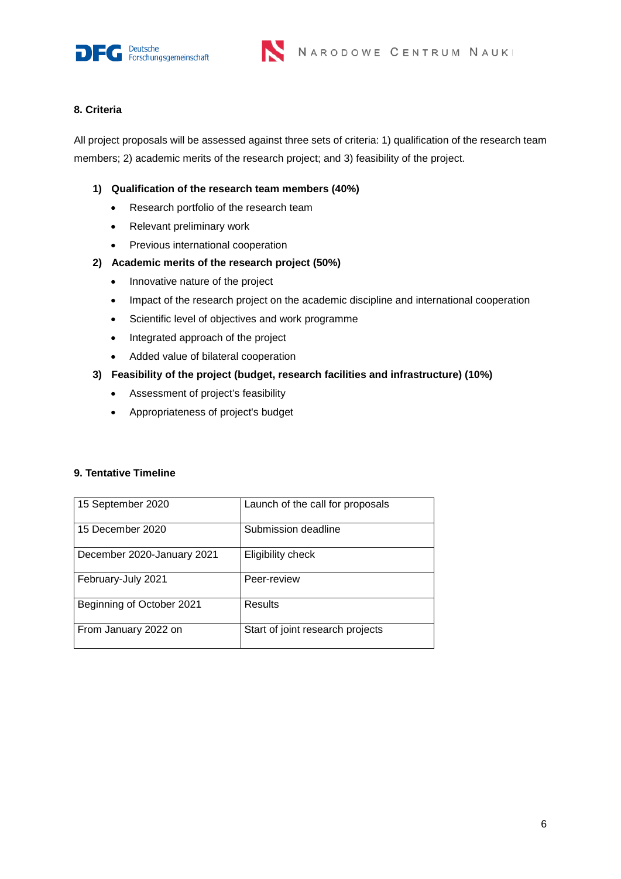



## **8. Criteria**

All project proposals will be assessed against three sets of criteria: 1) qualification of the research team members; 2) academic merits of the research project; and 3) feasibility of the project.

## **1) Qualification of the research team members (40%)**

- Research portfolio of the research team
- Relevant preliminary work
- Previous international cooperation

## **2) Academic merits of the research project (50%)**

- Innovative nature of the project
- Impact of the research project on the academic discipline and international cooperation
- Scientific level of objectives and work programme
- Integrated approach of the project
- Added value of bilateral cooperation

## **3) Feasibility of the project (budget, research facilities and infrastructure) (10%)**

- Assessment of project's feasibility
- Appropriateness of project's budget

#### **9. Tentative Timeline**

| 15 September 2020          | Launch of the call for proposals |
|----------------------------|----------------------------------|
| 15 December 2020           | Submission deadline              |
| December 2020-January 2021 | Eligibility check                |
| February-July 2021         | Peer-review                      |
| Beginning of October 2021  | Results                          |
| From January 2022 on       | Start of joint research projects |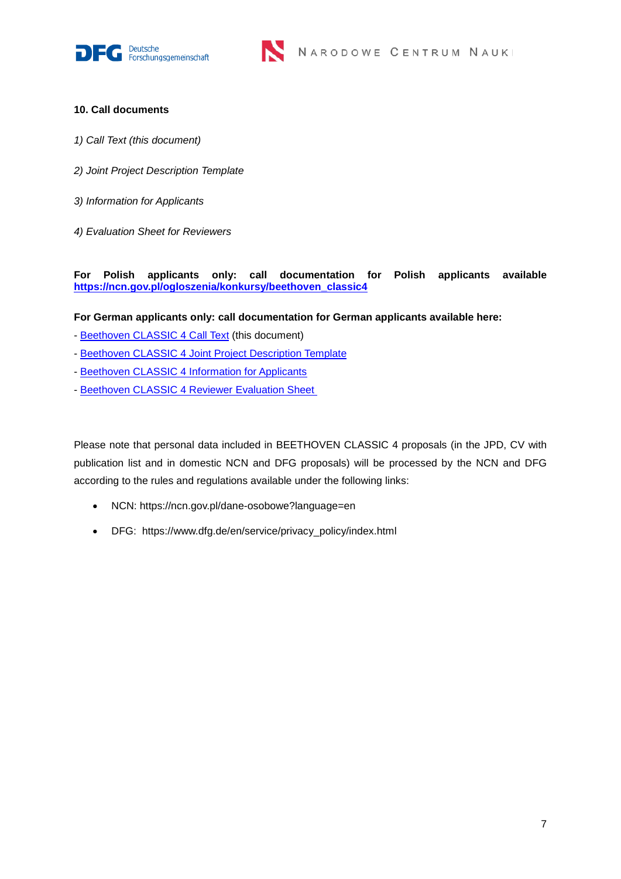



## **10. Call documents**

- *1) Call Text (this document)*
- *2) Joint Project Description Template*
- *3) Information for Applicants*
- *4) Evaluation Sheet for Reviewers*

**For Polish applicants only: call documentation for Polish applicants available [https://ncn.gov.pl/ogloszenia/konkursy/beethoven\\_classic4](https://ncn.gov.pl/ogloszenia/konkursy/beethoven_classic4)**

**For German applicants only: call documentation for German applicants available here:**

- [Beethoven CLASSIC 4 Call Text](http://www.dfg.de/download/pdf/foerderung/internationales/partner/polen/dfg_ncn_2020_beethoven_classic_4_call.pdf) (this document)
- [Beethoven CLASSIC 4 Joint Project Description Template](http://www.dfg.de/download/pdf/foerderung/internationales/partner/polen/dfg_ncn_2020_beethoven_classic_4_jpd_template.rtf)
- [Beethoven CLASSIC 4 Information for Applicants](http://www.dfg.de/download/pdf/foerderung/internationales/partner/polen/dfg_ncn_2020_beethoven_classic_4_info_applicants.pdf)
- [Beethoven CLASSIC 4 Reviewer Evaluation Sheet](http://www.dfg.de/download/pdf/foerderung/internationales/partner/polen/dfg_ncn_2020_beethoven_classic_4_evaluation_sheet.pdf)

Please note that personal data included in BEETHOVEN CLASSIC 4 proposals (in the JPD, CV with publication list and in domestic NCN and DFG proposals) will be processed by the NCN and DFG according to the rules and regulations available under the following links:

- NCN: https://ncn.gov.pl/dane-osobowe?language=en
- DFG: https://www.dfg.de/en/service/privacy\_policy/index.html